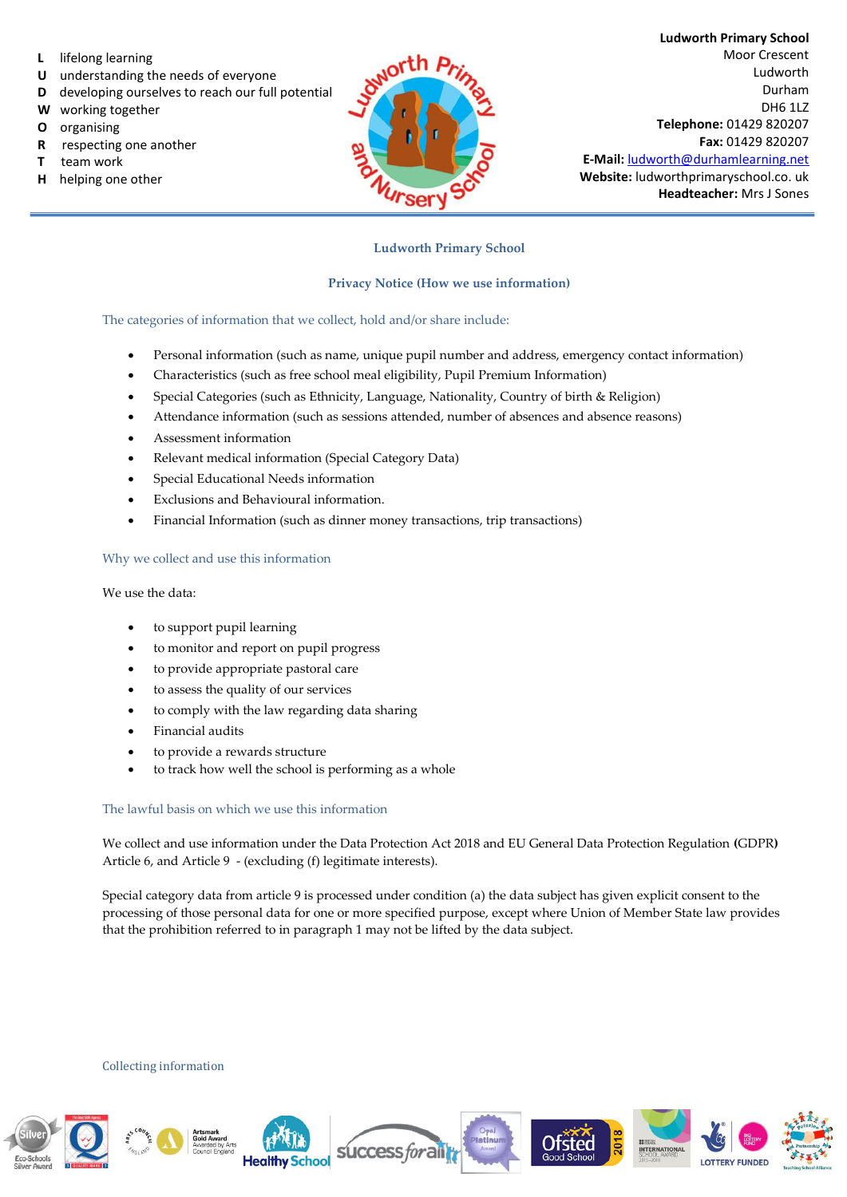- **L** lifelong learning
- **U** understanding the needs of everyone
- **D** developing ourselves to reach our full potential
- **W** working together
- **O** organising
- **R** respecting one another
- **T** team work
- **H** helping one other



**Ludworth Primary School**  Moor Crescent Ludworth Durham DH6 1LZ **Telephone:** 01429 820207 **Fax:** 01429 820207 **E-Mail:** [ludworth@durhamlearning.net](mailto:ludworth@durhamlearning.net) **Website:** ludworthprimaryschool.co. uk **Headteacher:** Mrs J Sones

## **Ludworth Primary School**

### **Privacy Notice (How we use information)**

The categories of information that we collect, hold and/or share include:

- Personal information (such as name, unique pupil number and address, emergency contact information)
- Characteristics (such as free school meal eligibility, Pupil Premium Information)
- Special Categories (such as Ethnicity, Language, Nationality, Country of birth & Religion)
- Attendance information (such as sessions attended, number of absences and absence reasons)
- Assessment information
- Relevant medical information (Special Category Data)
- Special Educational Needs information
- Exclusions and Behavioural information.
- Financial Information (such as dinner money transactions, trip transactions)

#### Why we collect and use this information

#### We use the data:

- to support pupil learning
- to monitor and report on pupil progress
- to provide appropriate pastoral care
- to assess the quality of our services
- to comply with the law regarding data sharing
- Financial audits
- to provide a rewards structure
- to track how well the school is performing as a whole

#### The lawful basis on which we use this information

We collect and use information under the Data Protection Act 2018 and EU General Data Protection Regulation **(**GDPR**)**  Article 6, and Article 9 - (excluding (f) legitimate interests).

Special category data from article 9 is processed under condition (a) the data subject has given explicit consent to the processing of those personal data for one or more specified purpose, except where Union of Member State law provides that the prohibition referred to in paragraph 1 may not be lifted by the data subject.

Collecting information

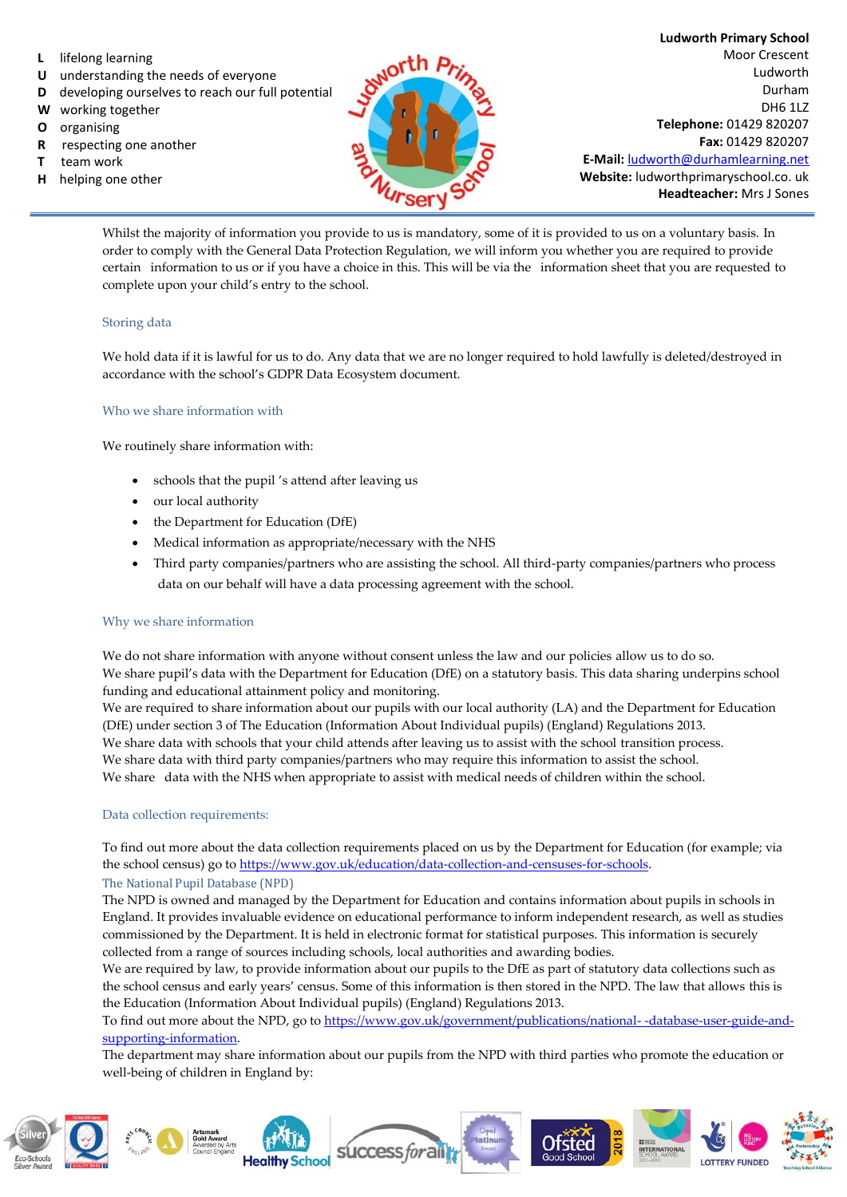- **L** lifelong learning
- **U** understanding the needs of everyone
- **D** developing ourselves to reach our full potential
- **W** working together
- **O** organising
- **R** respecting one another
- **T** team work
- **H** helping one other



**Ludworth Primary School**  Moor Crescent Ludworth Durham DH6 1LZ **Telephone:** 01429 820207 **Fax:** 01429 820207 **E-Mail:** [ludworth@durhamlearning.net](mailto:ludworth@durhamlearning.net) **Website:** ludworthprimaryschool.co. uk **Headteacher:** Mrs J Sones

Whilst the majority of information you provide to us is mandatory, some of it is provided to us on a voluntary basis. In order to comply with the General Data Protection Regulation, we will inform you whether you are required to provide certain information to us or if you have a choice in this. This will be via the information sheet that you are requested to complete upon your child's entry to the school.

## Storing data

We hold data if it is lawful for us to do. Any data that we are no longer required to hold lawfully is deleted/destroyed in accordance with the school's GDPR Data Ecosystem document.

## Who we share information with

We routinely share information with:

- schools that the pupil 's attend after leaving us
- our local authority
- the Department for Education (DfE)
- Medical information as appropriate/necessary with the NHS
- Third party companies/partners who are assisting the school. All third-party companies/partners who process data on our behalf will have a data processing agreement with the school.

## Why we share information

We do not share information with anyone without consent unless the law and our policies allow us to do so. We share pupil's data with the Department for Education (DfE) on a statutory basis. This data sharing underpins school funding and educational attainment policy and monitoring.

We are required to share information about our pupils with our local authority (LA) and the Department for Education (DfE) under section 3 of The Education (Information About Individual pupils) (England) Regulations 2013. We share data with schools that your child attends after leaving us to assist with the school transition process. We share data with third party companies/partners who may require this information to assist the school. We share data with the NHS when appropriate to assist with medical needs of children within the school.

#### Data collection requirements:

To find out more about the data collection requirements placed on us by the Department for Education (for example; via the school census) go t[o https://www.gov.uk/education/data-collection-and-censuses-for-schools.](https://www.gov.uk/education/data-collection-and-censuses-for-schools)

#### The National Pupil Database (NPD)

The NPD is owned and managed by the Department for Education and contains information about pupils in schools in England. It provides invaluable evidence on educational performance to inform independent research, as well as studies commissioned by the Department. It is held in electronic format for statistical purposes. This information is securely collected from a range of sources including schools, local authorities and awarding bodies.

We are required by law, to provide information about our pupils to the DfE as part of statutory data collections such as the school census and early years' census. Some of this information is then stored in the NPD. The law that allows this is the Education (Information About Individual pupils) (England) Regulations 2013.

To find out more about the NPD, go to [https://www.gov.uk/government/publications/national- -database-user-guide-and](https://www.gov.uk/government/publications/national-pupil-database-user-guide-and-supporting-information)[supporting-information.](https://www.gov.uk/government/publications/national-pupil-database-user-guide-and-supporting-information)

The department may share information about our pupils from the NPD with third parties who promote the education or well-being of children in England by:

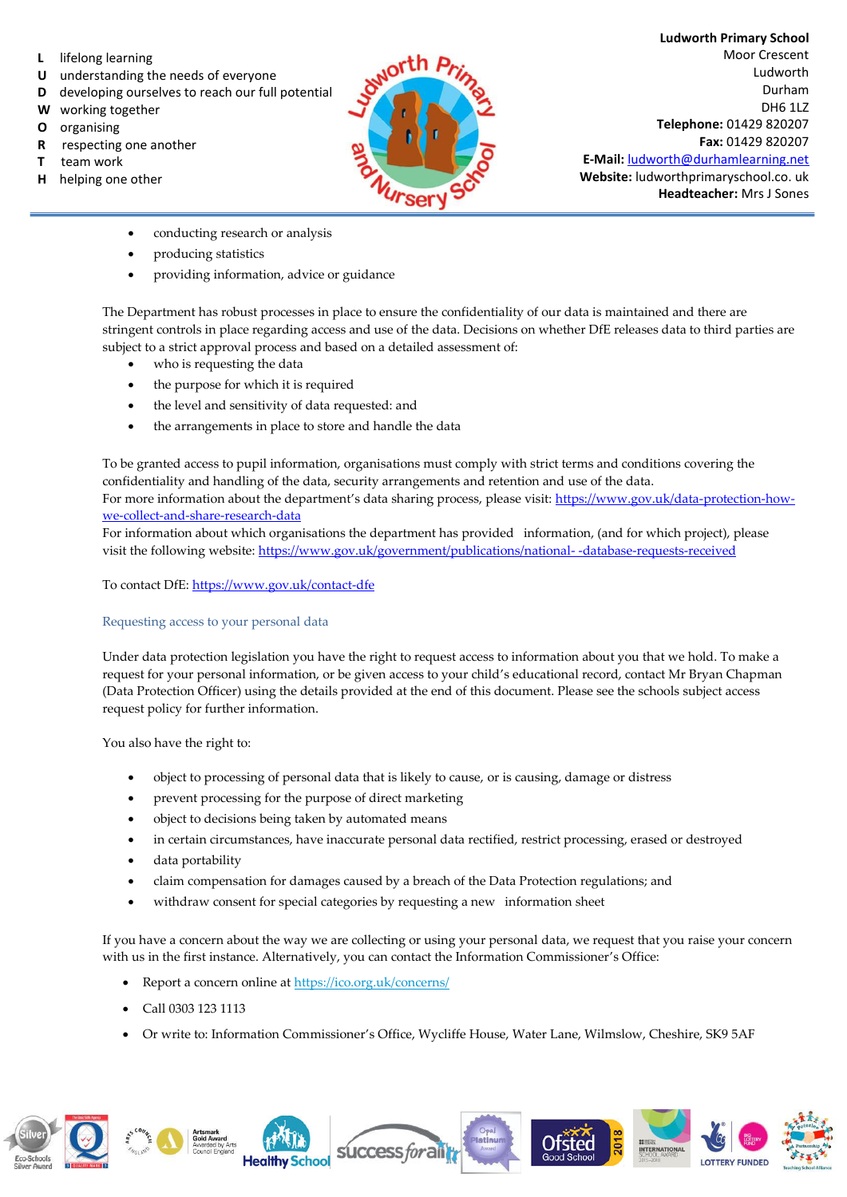- **L** lifelong learning
- **U** understanding the needs of everyone
- **D** developing ourselves to reach our full potential
- **W** working together
- **O** organising
- **R** respecting one another
- **T** team work
- **H** helping one other



**Ludworth Primary School**  Moor Crescent Ludworth Durham DH6 1LZ **Telephone:** 01429 820207 **Fax:** 01429 820207 **E-Mail:** [ludworth@durhamlearning.net](mailto:ludworth@durhamlearning.net) **Website:** ludworthprimaryschool.co. uk

**Headteacher:** Mrs J Sones

- conducting research or analysis
- producing statistics
- providing information, advice or guidance

The Department has robust processes in place to ensure the confidentiality of our data is maintained and there are stringent controls in place regarding access and use of the data. Decisions on whether DfE releases data to third parties are subject to a strict approval process and based on a detailed assessment of:

- who is requesting the data
- the purpose for which it is required
- the level and sensitivity of data requested: and
- the arrangements in place to store and handle the data

To be granted access to pupil information, organisations must comply with strict terms and conditions covering the confidentiality and handling of the data, security arrangements and retention and use of the data. For more information about the department's data sharing process, please visit[: https://www.gov.uk/data-protection-how](https://www.gov.uk/data-protection-how-we-collect-and-share-research-data)[we-collect-and-share-research-data](https://www.gov.uk/data-protection-how-we-collect-and-share-research-data) 

For information about which organisations the department has provided information, (and for which project), please visit the following website[: https://www.gov.uk/government/publications/national- -database-requests-received](https://www.gov.uk/government/publications/national-pupil-database-requests-received) 

To contact DfE[: https://www.gov.uk/contact-dfe](https://www.gov.uk/contact-dfe)

## Requesting access to your personal data

Under data protection legislation you have the right to request access to information about you that we hold. To make a request for your personal information, or be given access to your child's educational record, contact Mr Bryan Chapman (Data Protection Officer) using the details provided at the end of this document. Please see the schools subject access request policy for further information.

You also have the right to:

- object to processing of personal data that is likely to cause, or is causing, damage or distress
- prevent processing for the purpose of direct marketing
- object to decisions being taken by automated means
- in certain circumstances, have inaccurate personal data rectified, restrict processing, erased or destroyed
- data portability
- claim compensation for damages caused by a breach of the Data Protection regulations; and
- withdraw consent for special categories by requesting a new information sheet

If you have a concern about the way we are collecting or using your personal data, we request that you raise your concern with us in the first instance. Alternatively, you can contact the Information Commissioner's Office:

- Report a concern online at<https://ico.org.uk/concerns/>
- Call 0303 123 1113
- Or write to: Information Commissioner's Office, Wycliffe House, Water Lane, Wilmslow, Cheshire, SK9 5AF